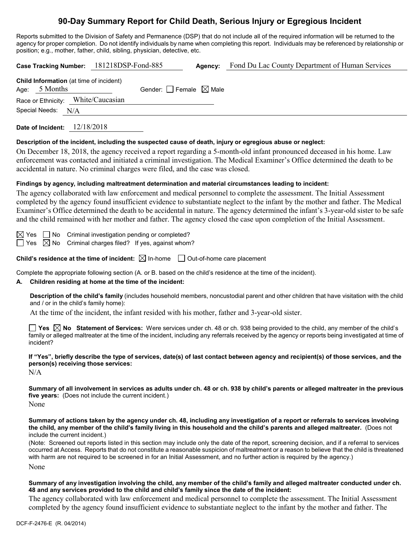# **90-Day Summary Report for Child Death, Serious Injury or Egregious Incident**

Reports submitted to the Division of Safety and Permanence (DSP) that do not include all of the required information will be returned to the agency for proper completion. Do not identify individuals by name when completing this report. Individuals may be referenced by relationship or position; e.g., mother, father, child, sibling, physician, detective, etc.

| Fond Du Lac County Department of Human Services<br>Case Tracking Number: 181218DSP-Fond-885<br>Agency:                                                                                                                                                                                                                                                                                                                                                                                                                     |  |  |  |  |
|----------------------------------------------------------------------------------------------------------------------------------------------------------------------------------------------------------------------------------------------------------------------------------------------------------------------------------------------------------------------------------------------------------------------------------------------------------------------------------------------------------------------------|--|--|--|--|
| Child Information (at time of incident)<br>Age: 5 Months<br>Gender: $\Box$ Female $\boxtimes$ Male                                                                                                                                                                                                                                                                                                                                                                                                                         |  |  |  |  |
| Race or Ethnicity: White/Caucasian                                                                                                                                                                                                                                                                                                                                                                                                                                                                                         |  |  |  |  |
| Special Needs: N/A                                                                                                                                                                                                                                                                                                                                                                                                                                                                                                         |  |  |  |  |
| Date of Incident: 12/18/2018                                                                                                                                                                                                                                                                                                                                                                                                                                                                                               |  |  |  |  |
| Description of the incident, including the suspected cause of death, injury or egregious abuse or neglect:<br>On December 18, 2018, the agency received a report regarding a 5-month-old infant pronounced deceased in his home. Law<br>enforcement was contacted and initiated a criminal investigation. The Medical Examiner's Office determined the death to be<br>accidental in nature. No criminal charges were filed, and the case was closed.                                                                       |  |  |  |  |
| Findings by agency, including maltreatment determination and material circumstances leading to incident:                                                                                                                                                                                                                                                                                                                                                                                                                   |  |  |  |  |
| The agency collaborated with law enforcement and medical personnel to complete the assessment. The Initial Assessment<br>completed by the agency found insufficient evidence to substantiate neglect to the infant by the mother and father. The Medical<br>Examiner's Office determined the death to be accidental in nature. The agency determined the infant's 3-year-old sister to be safe<br>and the child remained with her mother and father. The agency closed the case upon completion of the Initial Assessment. |  |  |  |  |
| $\boxtimes$ Yes $\Box$ No Criminal investigation pending or completed?<br>$\boxtimes$ No Criminal charges filed? If yes, against whom?<br>Yes                                                                                                                                                                                                                                                                                                                                                                              |  |  |  |  |
| Child's residence at the time of incident: $\boxtimes$ In-home $\Box$ Out-of-home care placement                                                                                                                                                                                                                                                                                                                                                                                                                           |  |  |  |  |
| Complete the appropriate following section (A. or B. based on the child's residence at the time of the incident).<br>Children residing at home at the time of the incident:<br>А.                                                                                                                                                                                                                                                                                                                                          |  |  |  |  |
| Description of the child's family (includes household members, noncustodial parent and other children that have visitation with the child<br>and / or in the child's family home):                                                                                                                                                                                                                                                                                                                                         |  |  |  |  |
| At the time of the incident, the infant resided with his mother, father and 3-year-old sister.                                                                                                                                                                                                                                                                                                                                                                                                                             |  |  |  |  |
| <b>The Statement of Services:</b> Were services under ch. 48 or ch. 938 being provided to the child, any member of the child's $\blacksquare$<br>family or alleged maltreater at the time of the incident, including any referrals received by the agency or reports being investigated at time of<br>incident?                                                                                                                                                                                                            |  |  |  |  |
| If "Yes", briefly describe the type of services, date(s) of last contact between agency and recipient(s) of those services, and the<br>person(s) receiving those services:<br>N/A                                                                                                                                                                                                                                                                                                                                          |  |  |  |  |
| Summary of all involvement in services as adults under ch. 48 or ch. 938 by child's parents or alleged maltreater in the previous<br>five years: (Does not include the current incident.)<br>None                                                                                                                                                                                                                                                                                                                          |  |  |  |  |
| Summary of actions taken by the agency under ch. 48, including any investigation of a report or referrals to services involving<br>the child, any member of the child's family living in this household and the child's parents and alleged maltreater. (Does not<br>include the current incident.)<br>(Note: Screened out reports listed in this section may include only the date of the report, screening decision, and if a referral to services                                                                       |  |  |  |  |
| occurred at Access. Reports that do not constitute a reasonable suspicion of maltreatment or a reason to believe that the child is threatened<br>with harm are not required to be screened in for an Initial Assessment, and no further action is required by the agency.)                                                                                                                                                                                                                                                 |  |  |  |  |

None

#### **Summary of any investigation involving the child, any member of the child's family and alleged maltreater conducted under ch. 48 and any services provided to the child and child's family since the date of the incident:**

The agency collaborated with law enforcement and medical personnel to complete the assessment. The Initial Assessment completed by the agency found insufficient evidence to substantiate neglect to the infant by the mother and father. The